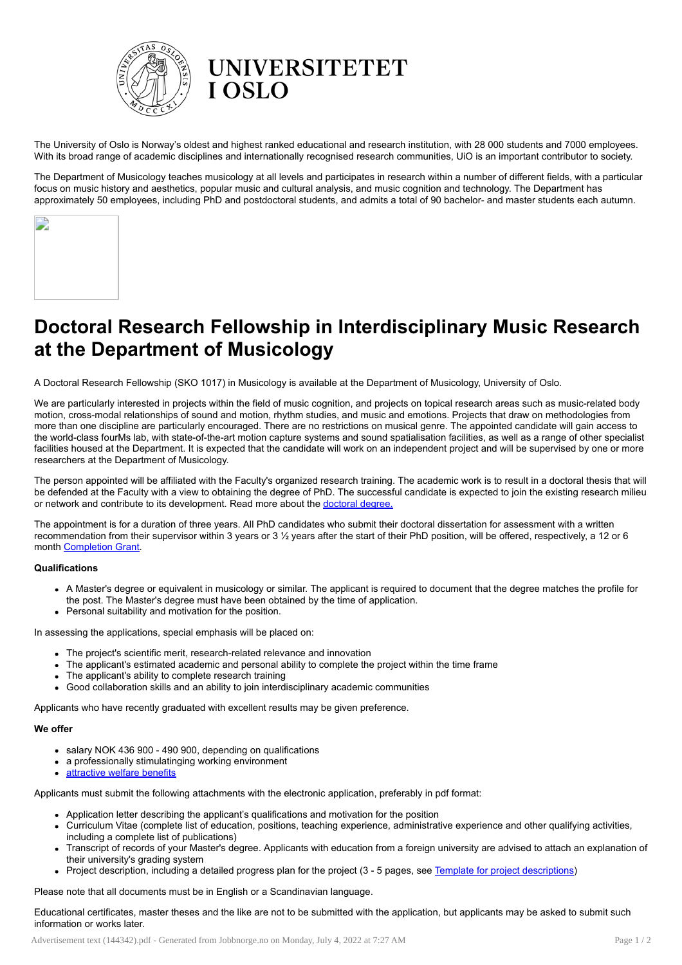

The University of Oslo is Norway's oldest and highest ranked educational and research institution, with 28 000 students and 7000 employees. With its broad range of academic disciplines and internationally recognised research communities, UiO is an important contributor to society.

The Department of Musicology teaches musicology at all levels and participates in research within a number of different fields, with a particular focus on music history and aesthetics, popular music and cultural analysis, and music cognition and technology. The Department has approximately 50 employees, including PhD and postdoctoral students, and admits a total of 90 bachelor- and master students each autumn.

| D |  |  |
|---|--|--|
|   |  |  |
|   |  |  |
|   |  |  |

## Doctoral Research Fellowship in Interdisciplinary Music Research at the Department of Musicology

A Doctoral Research Fellowship (SKO 1017) in Musicology is available at the Department of Musicology, University of Oslo.

We are particularly interested in projects within the field of music cognition, and projects on topical research areas such as music-related body motion, cross-modal relationships of sound and motion, rhythm studies, and music and emotions. Projects that draw on methodologies from more than one discipline are particularly encouraged. There are no restrictions on musical genre. The appointed candidate will gain access to the world-class fourMs lab, with state-of-the-art motion capture systems and sound spatialisation facilities, as well as a range of other specialist facilities housed at the Department. It is expected that the candidate will work on an independent project and will be supervised by one or more researchers at the Department of Musicology.

The person appointed will be affiliated with the Faculty's organized research training. The academic work is to result in a doctoral thesis that will be defended at the Faculty with a view to obtaining the degree of PhD. The successful candidate is expected to join the existing research milieu or network and contribute to its development. Read more about the [doctoral](http://www.hf.uio.no/english/research/phd/) degree.

The appointment is for a duration of three years. All PhD candidates who submit their doctoral dissertation for assessment with a written recommendation from their supervisor within 3 years or 3 ½ years after the start of their PhD position, will be offered, respectively, a 12 or 6 month [Completion](http://www.uio.no/for-ansatte/arbeidsstotte/fa/utdanning/hf/stipendiater/gjennomfoeringsstipend/completiongrant.html) Grant.

## Qualifications

- A Master's degree or equivalent in musicology or similar. The applicant is required to document that the degree matches the profile for the post. The Master's degree must have been obtained by the time of application.
- Personal suitability and motivation for the position.

In assessing the applications, special emphasis will be placed on:

- The project's scientific merit, research-related relevance and innovation
- The applicant's estimated academic and personal ability to complete the project within the time frame
- The applicant's ability to complete research training
- Good collaboration skills and an ability to join interdisciplinary academic communities

Applicants who have recently graduated with excellent results may be given preference.

## We offer

- salary NOK 436 900 490 900, depending on qualifications
- a professionally stimulatinging working environment
- **[attractive](https://www.uio.no/english/for-employees/employment/welfare/) welfare benefits**

Applicants must submit the following attachments with the electronic application, preferably in pdf format:

- Application letter describing the applicant's qualifications and motivation for the position
- Curriculum Vitae (complete list of education, positions, teaching experience, administrative experience and other qualifying activities, including a complete list of publications)
- Transcript of records of your Master's degree. Applicants with education from a foreign university are advised to attach an explanation of their university's grading system
- Project description, including a detailed progress plan for the project (3 5 pages, see Template for project [descriptions\)](http://www.hf.uio.no/english/research/phd/application/projectdescription.html)

Please note that all documents must be in English or a Scandinavian language.

Educational certificates, master theses and the like are not to be submitted with the application, but applicants may be asked to submit such information or works later.